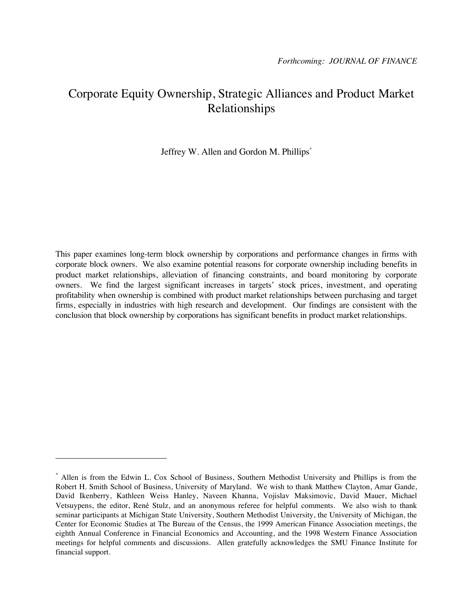# Corporate Equity Ownership, Strategic Alliances and Product Market Relationships

Jeffrey W. Allen and Gordon M. Phillips\*

This paper examines long-term block ownership by corporations and performance changes in firms with corporate block owners. We also examine potential reasons for corporate ownership including benefits in product market relationships, alleviation of financing constraints, and board monitoring by corporate owners. We find the largest significant increases in targets' stock prices, investment, and operating profitability when ownership is combined with product market relationships between purchasing and target firms, especially in industries with high research and development. Our findings are consistent with the conclusion that block ownership by corporations has significant benefits in product market relationships.

1

<sup>\*</sup> Allen is from the Edwin L. Cox School of Business, Southern Methodist University and Phillips is from the Robert H. Smith School of Business, University of Maryland. We wish to thank Matthew Clayton, Amar Gande, David Ikenberry, Kathleen Weiss Hanley, Naveen Khanna, Vojislav Maksimovic, David Mauer, Michael Vetsuypens, the editor, René Stulz, and an anonymous referee for helpful comments. We also wish to thank seminar participants at Michigan State University, Southern Methodist University, the University of Michigan, the Center for Economic Studies at The Bureau of the Census, the 1999 American Finance Association meetings, the eighth Annual Conference in Financial Economics and Accounting, and the 1998 Western Finance Association meetings for helpful comments and discussions. Allen gratefully acknowledges the SMU Finance Institute for financial support.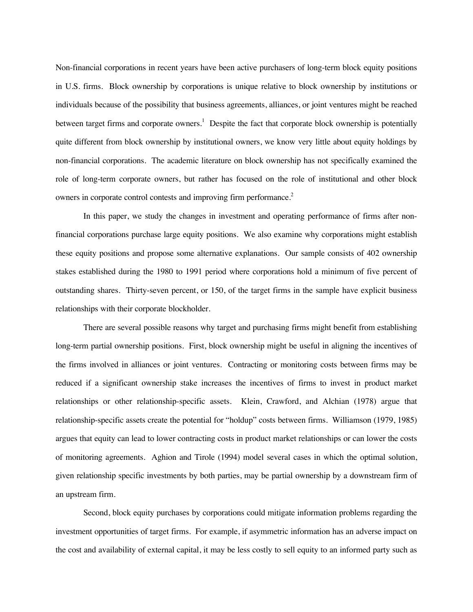Non-financial corporations in recent years have been active purchasers of long-term block equity positions in U.S. firms. Block ownership by corporations is unique relative to block ownership by institutions or individuals because of the possibility that business agreements, alliances, or joint ventures might be reached between target firms and corporate owners.<sup>1</sup> Despite the fact that corporate block ownership is potentially quite different from block ownership by institutional owners, we know very little about equity holdings by non-financial corporations. The academic literature on block ownership has not specifically examined the role of long-term corporate owners, but rather has focused on the role of institutional and other block owners in corporate control contests and improving firm performance.<sup>2</sup>

In this paper, we study the changes in investment and operating performance of firms after nonfinancial corporations purchase large equity positions. We also examine why corporations might establish these equity positions and propose some alternative explanations. Our sample consists of 402 ownership stakes established during the 1980 to 1991 period where corporations hold a minimum of five percent of outstanding shares. Thirty-seven percent, or 150, of the target firms in the sample have explicit business relationships with their corporate blockholder.

There are several possible reasons why target and purchasing firms might benefit from establishing long-term partial ownership positions. First, block ownership might be useful in aligning the incentives of the firms involved in alliances or joint ventures. Contracting or monitoring costs between firms may be reduced if a significant ownership stake increases the incentives of firms to invest in product market relationships or other relationship-specific assets. Klein, Crawford, and Alchian (1978) argue that relationship-specific assets create the potential for "holdup" costs between firms. Williamson (1979, 1985) argues that equity can lead to lower contracting costs in product market relationships or can lower the costs of monitoring agreements. Aghion and Tirole (1994) model several cases in which the optimal solution, given relationship specific investments by both parties, may be partial ownership by a downstream firm of an upstream firm.

Second, block equity purchases by corporations could mitigate information problems regarding the investment opportunities of target firms. For example, if asymmetric information has an adverse impact on the cost and availability of external capital, it may be less costly to sell equity to an informed party such as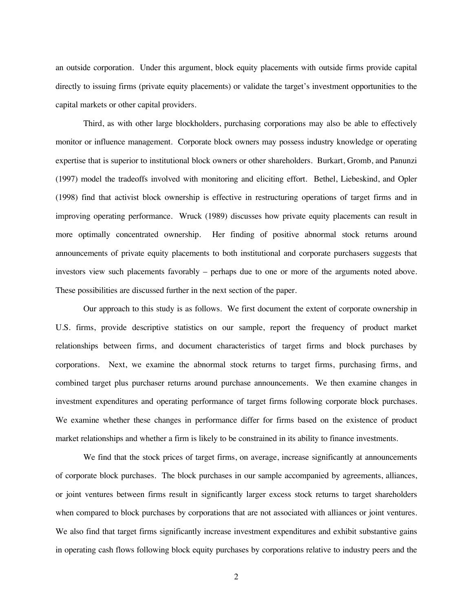an outside corporation. Under this argument, block equity placements with outside firms provide capital directly to issuing firms (private equity placements) or validate the target's investment opportunities to the capital markets or other capital providers.

Third, as with other large blockholders, purchasing corporations may also be able to effectively monitor or influence management. Corporate block owners may possess industry knowledge or operating expertise that is superior to institutional block owners or other shareholders. Burkart, Gromb, and Panunzi (1997) model the tradeoffs involved with monitoring and eliciting effort. Bethel, Liebeskind, and Opler (1998) find that activist block ownership is effective in restructuring operations of target firms and in improving operating performance. Wruck (1989) discusses how private equity placements can result in more optimally concentrated ownership. Her finding of positive abnormal stock returns around announcements of private equity placements to both institutional and corporate purchasers suggests that investors view such placements favorably – perhaps due to one or more of the arguments noted above. These possibilities are discussed further in the next section of the paper.

Our approach to this study is as follows. We first document the extent of corporate ownership in U.S. firms, provide descriptive statistics on our sample, report the frequency of product market relationships between firms, and document characteristics of target firms and block purchases by corporations. Next, we examine the abnormal stock returns to target firms, purchasing firms, and combined target plus purchaser returns around purchase announcements. We then examine changes in investment expenditures and operating performance of target firms following corporate block purchases. We examine whether these changes in performance differ for firms based on the existence of product market relationships and whether a firm is likely to be constrained in its ability to finance investments.

We find that the stock prices of target firms, on average, increase significantly at announcements of corporate block purchases. The block purchases in our sample accompanied by agreements, alliances, or joint ventures between firms result in significantly larger excess stock returns to target shareholders when compared to block purchases by corporations that are not associated with alliances or joint ventures. We also find that target firms significantly increase investment expenditures and exhibit substantive gains in operating cash flows following block equity purchases by corporations relative to industry peers and the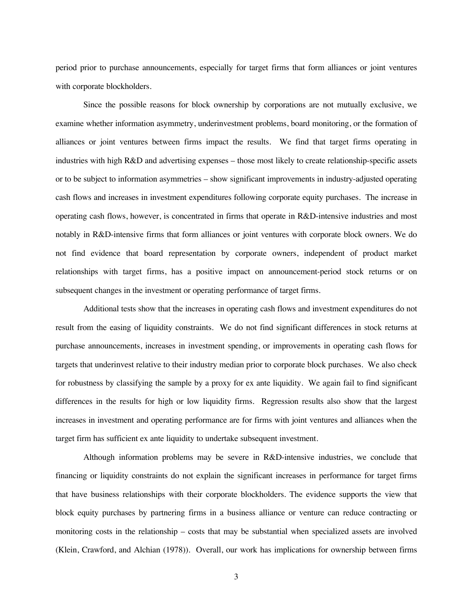period prior to purchase announcements, especially for target firms that form alliances or joint ventures with corporate blockholders.

Since the possible reasons for block ownership by corporations are not mutually exclusive, we examine whether information asymmetry, underinvestment problems, board monitoring, or the formation of alliances or joint ventures between firms impact the results. We find that target firms operating in industries with high R&D and advertising expenses – those most likely to create relationship-specific assets or to be subject to information asymmetries – show significant improvements in industry-adjusted operating cash flows and increases in investment expenditures following corporate equity purchases. The increase in operating cash flows, however, is concentrated in firms that operate in R&D-intensive industries and most notably in R&D-intensive firms that form alliances or joint ventures with corporate block owners. We do not find evidence that board representation by corporate owners, independent of product market relationships with target firms, has a positive impact on announcement-period stock returns or on subsequent changes in the investment or operating performance of target firms.

Additional tests show that the increases in operating cash flows and investment expenditures do not result from the easing of liquidity constraints. We do not find significant differences in stock returns at purchase announcements, increases in investment spending, or improvements in operating cash flows for targets that underinvest relative to their industry median prior to corporate block purchases. We also check for robustness by classifying the sample by a proxy for ex ante liquidity. We again fail to find significant differences in the results for high or low liquidity firms. Regression results also show that the largest increases in investment and operating performance are for firms with joint ventures and alliances when the target firm has sufficient ex ante liquidity to undertake subsequent investment.

Although information problems may be severe in R&D-intensive industries, we conclude that financing or liquidity constraints do not explain the significant increases in performance for target firms that have business relationships with their corporate blockholders. The evidence supports the view that block equity purchases by partnering firms in a business alliance or venture can reduce contracting or monitoring costs in the relationship – costs that may be substantial when specialized assets are involved (Klein, Crawford, and Alchian (1978)). Overall, our work has implications for ownership between firms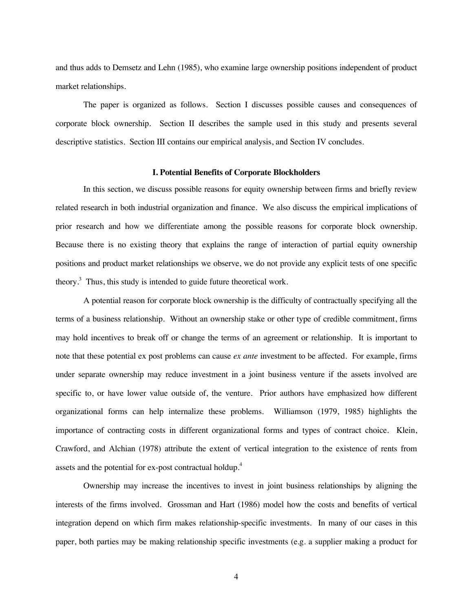and thus adds to Demsetz and Lehn (1985), who examine large ownership positions independent of product market relationships.

The paper is organized as follows. Section I discusses possible causes and consequences of corporate block ownership. Section II describes the sample used in this study and presents several descriptive statistics. Section III contains our empirical analysis, and Section IV concludes.

# **I. Potential Benefits of Corporate Blockholders**

In this section, we discuss possible reasons for equity ownership between firms and briefly review related research in both industrial organization and finance. We also discuss the empirical implications of prior research and how we differentiate among the possible reasons for corporate block ownership. Because there is no existing theory that explains the range of interaction of partial equity ownership positions and product market relationships we observe, we do not provide any explicit tests of one specific theory. $3$  Thus, this study is intended to guide future theoretical work.

A potential reason for corporate block ownership is the difficulty of contractually specifying all the terms of a business relationship. Without an ownership stake or other type of credible commitment, firms may hold incentives to break off or change the terms of an agreement or relationship. It is important to note that these potential ex post problems can cause *ex ante* investment to be affected. For example, firms under separate ownership may reduce investment in a joint business venture if the assets involved are specific to, or have lower value outside of, the venture. Prior authors have emphasized how different organizational forms can help internalize these problems. Williamson (1979, 1985) highlights the importance of contracting costs in different organizational forms and types of contract choice. Klein, Crawford, and Alchian (1978) attribute the extent of vertical integration to the existence of rents from assets and the potential for ex-post contractual holdup.4

Ownership may increase the incentives to invest in joint business relationships by aligning the interests of the firms involved. Grossman and Hart (1986) model how the costs and benefits of vertical integration depend on which firm makes relationship-specific investments. In many of our cases in this paper, both parties may be making relationship specific investments (e.g. a supplier making a product for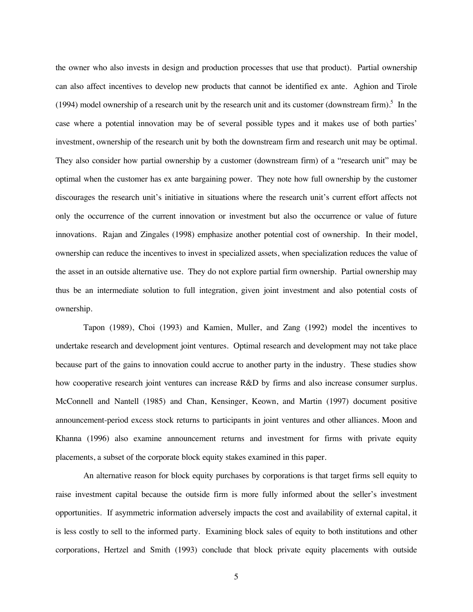the owner who also invests in design and production processes that use that product). Partial ownership can also affect incentives to develop new products that cannot be identified ex ante. Aghion and Tirole (1994) model ownership of a research unit by the research unit and its customer (downstream firm).<sup>5</sup> In the case where a potential innovation may be of several possible types and it makes use of both parties' investment, ownership of the research unit by both the downstream firm and research unit may be optimal. They also consider how partial ownership by a customer (downstream firm) of a "research unit" may be optimal when the customer has ex ante bargaining power. They note how full ownership by the customer discourages the research unit's initiative in situations where the research unit's current effort affects not only the occurrence of the current innovation or investment but also the occurrence or value of future innovations. Rajan and Zingales (1998) emphasize another potential cost of ownership. In their model, ownership can reduce the incentives to invest in specialized assets, when specialization reduces the value of the asset in an outside alternative use. They do not explore partial firm ownership. Partial ownership may thus be an intermediate solution to full integration, given joint investment and also potential costs of ownership.

Tapon (1989), Choi (1993) and Kamien, Muller, and Zang (1992) model the incentives to undertake research and development joint ventures. Optimal research and development may not take place because part of the gains to innovation could accrue to another party in the industry. These studies show how cooperative research joint ventures can increase R&D by firms and also increase consumer surplus. McConnell and Nantell (1985) and Chan, Kensinger, Keown, and Martin (1997) document positive announcement-period excess stock returns to participants in joint ventures and other alliances. Moon and Khanna (1996) also examine announcement returns and investment for firms with private equity placements, a subset of the corporate block equity stakes examined in this paper.

An alternative reason for block equity purchases by corporations is that target firms sell equity to raise investment capital because the outside firm is more fully informed about the seller's investment opportunities. If asymmetric information adversely impacts the cost and availability of external capital, it is less costly to sell to the informed party. Examining block sales of equity to both institutions and other corporations, Hertzel and Smith (1993) conclude that block private equity placements with outside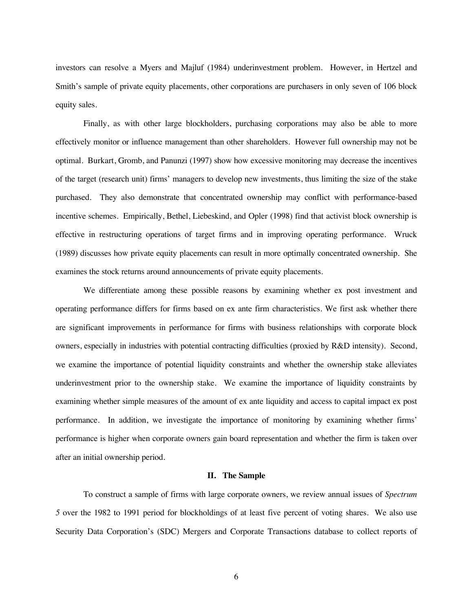investors can resolve a Myers and Majluf (1984) underinvestment problem. However, in Hertzel and Smith's sample of private equity placements, other corporations are purchasers in only seven of 106 block equity sales.

Finally, as with other large blockholders, purchasing corporations may also be able to more effectively monitor or influence management than other shareholders. However full ownership may not be optimal. Burkart, Gromb, and Panunzi (1997) show how excessive monitoring may decrease the incentives of the target (research unit) firms' managers to develop new investments, thus limiting the size of the stake purchased. They also demonstrate that concentrated ownership may conflict with performance-based incentive schemes. Empirically, Bethel, Liebeskind, and Opler (1998) find that activist block ownership is effective in restructuring operations of target firms and in improving operating performance. Wruck (1989) discusses how private equity placements can result in more optimally concentrated ownership. She examines the stock returns around announcements of private equity placements.

We differentiate among these possible reasons by examining whether ex post investment and operating performance differs for firms based on ex ante firm characteristics. We first ask whether there are significant improvements in performance for firms with business relationships with corporate block owners, especially in industries with potential contracting difficulties (proxied by R&D intensity). Second, we examine the importance of potential liquidity constraints and whether the ownership stake alleviates underinvestment prior to the ownership stake. We examine the importance of liquidity constraints by examining whether simple measures of the amount of ex ante liquidity and access to capital impact ex post performance. In addition, we investigate the importance of monitoring by examining whether firms' performance is higher when corporate owners gain board representation and whether the firm is taken over after an initial ownership period.

## **II. The Sample**

To construct a sample of firms with large corporate owners, we review annual issues of *Spectrum 5* over the 1982 to 1991 period for blockholdings of at least five percent of voting shares. We also use Security Data Corporation's (SDC) Mergers and Corporate Transactions database to collect reports of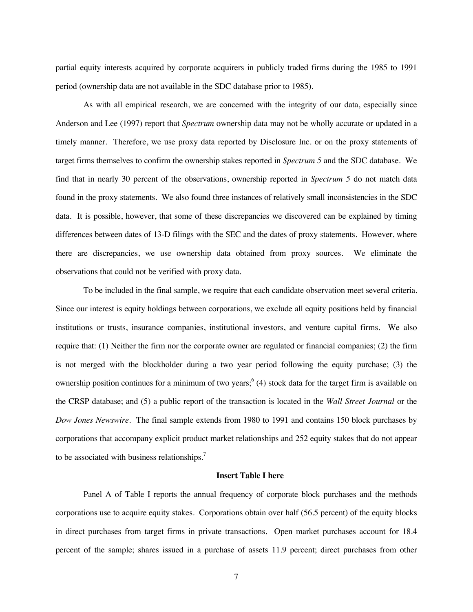partial equity interests acquired by corporate acquirers in publicly traded firms during the 1985 to 1991 period (ownership data are not available in the SDC database prior to 1985).

As with all empirical research, we are concerned with the integrity of our data, especially since Anderson and Lee (1997) report that *Spectrum* ownership data may not be wholly accurate or updated in a timely manner. Therefore, we use proxy data reported by Disclosure Inc. or on the proxy statements of target firms themselves to confirm the ownership stakes reported in *Spectrum 5* and the SDC database. We find that in nearly 30 percent of the observations, ownership reported in *Spectrum 5* do not match data found in the proxy statements. We also found three instances of relatively small inconsistencies in the SDC data. It is possible, however, that some of these discrepancies we discovered can be explained by timing differences between dates of 13-D filings with the SEC and the dates of proxy statements. However, where there are discrepancies, we use ownership data obtained from proxy sources. We eliminate the observations that could not be verified with proxy data.

To be included in the final sample, we require that each candidate observation meet several criteria. Since our interest is equity holdings between corporations, we exclude all equity positions held by financial institutions or trusts, insurance companies, institutional investors, and venture capital firms. We also require that: (1) Neither the firm nor the corporate owner are regulated or financial companies; (2) the firm is not merged with the blockholder during a two year period following the equity purchase; (3) the ownership position continues for a minimum of two years;<sup>6</sup> (4) stock data for the target firm is available on the CRSP database; and (5) a public report of the transaction is located in the *Wall Street Journal* or the *Dow Jones Newswire*. The final sample extends from 1980 to 1991 and contains 150 block purchases by corporations that accompany explicit product market relationships and 252 equity stakes that do not appear to be associated with business relationships.<sup>7</sup>

## **Insert Table I here**

Panel A of Table I reports the annual frequency of corporate block purchases and the methods corporations use to acquire equity stakes. Corporations obtain over half (56.5 percent) of the equity blocks in direct purchases from target firms in private transactions. Open market purchases account for 18.4 percent of the sample; shares issued in a purchase of assets 11.9 percent; direct purchases from other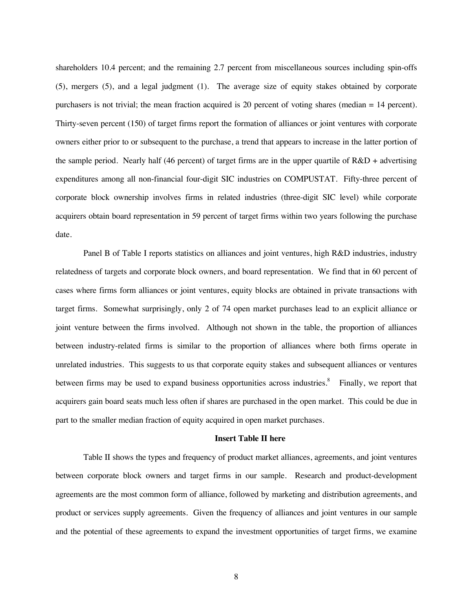shareholders 10.4 percent; and the remaining 2.7 percent from miscellaneous sources including spin-offs (5), mergers (5), and a legal judgment (1). The average size of equity stakes obtained by corporate purchasers is not trivial; the mean fraction acquired is 20 percent of voting shares (median = 14 percent). Thirty-seven percent (150) of target firms report the formation of alliances or joint ventures with corporate owners either prior to or subsequent to the purchase, a trend that appears to increase in the latter portion of the sample period. Nearly half (46 percent) of target firms are in the upper quartile of  $R&D$  + advertising expenditures among all non-financial four-digit SIC industries on COMPUSTAT. Fifty-three percent of corporate block ownership involves firms in related industries (three-digit SIC level) while corporate acquirers obtain board representation in 59 percent of target firms within two years following the purchase date.

Panel B of Table I reports statistics on alliances and joint ventures, high R&D industries, industry relatedness of targets and corporate block owners, and board representation. We find that in 60 percent of cases where firms form alliances or joint ventures, equity blocks are obtained in private transactions with target firms. Somewhat surprisingly, only 2 of 74 open market purchases lead to an explicit alliance or joint venture between the firms involved. Although not shown in the table, the proportion of alliances between industry-related firms is similar to the proportion of alliances where both firms operate in unrelated industries. This suggests to us that corporate equity stakes and subsequent alliances or ventures between firms may be used to expand business opportunities across industries.<sup>8</sup> Finally, we report that acquirers gain board seats much less often if shares are purchased in the open market. This could be due in part to the smaller median fraction of equity acquired in open market purchases.

#### **Insert Table II here**

Table II shows the types and frequency of product market alliances, agreements, and joint ventures between corporate block owners and target firms in our sample. Research and product-development agreements are the most common form of alliance, followed by marketing and distribution agreements, and product or services supply agreements. Given the frequency of alliances and joint ventures in our sample and the potential of these agreements to expand the investment opportunities of target firms, we examine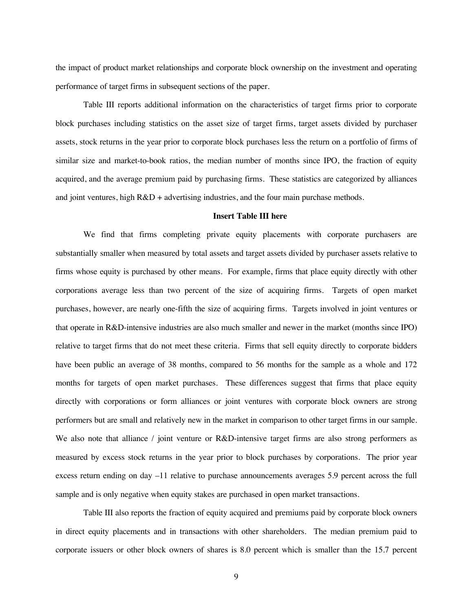the impact of product market relationships and corporate block ownership on the investment and operating performance of target firms in subsequent sections of the paper.

Table III reports additional information on the characteristics of target firms prior to corporate block purchases including statistics on the asset size of target firms, target assets divided by purchaser assets, stock returns in the year prior to corporate block purchases less the return on a portfolio of firms of similar size and market-to-book ratios, the median number of months since IPO, the fraction of equity acquired, and the average premium paid by purchasing firms. These statistics are categorized by alliances and joint ventures, high R&D + advertising industries, and the four main purchase methods.

## **Insert Table III here**

We find that firms completing private equity placements with corporate purchasers are substantially smaller when measured by total assets and target assets divided by purchaser assets relative to firms whose equity is purchased by other means. For example, firms that place equity directly with other corporations average less than two percent of the size of acquiring firms. Targets of open market purchases, however, are nearly one-fifth the size of acquiring firms. Targets involved in joint ventures or that operate in R&D-intensive industries are also much smaller and newer in the market (months since IPO) relative to target firms that do not meet these criteria. Firms that sell equity directly to corporate bidders have been public an average of 38 months, compared to 56 months for the sample as a whole and 172 months for targets of open market purchases. These differences suggest that firms that place equity directly with corporations or form alliances or joint ventures with corporate block owners are strong performers but are small and relatively new in the market in comparison to other target firms in our sample. We also note that alliance / joint venture or R&D-intensive target firms are also strong performers as measured by excess stock returns in the year prior to block purchases by corporations. The prior year excess return ending on day –11 relative to purchase announcements averages 5.9 percent across the full sample and is only negative when equity stakes are purchased in open market transactions.

Table III also reports the fraction of equity acquired and premiums paid by corporate block owners in direct equity placements and in transactions with other shareholders. The median premium paid to corporate issuers or other block owners of shares is 8.0 percent which is smaller than the 15.7 percent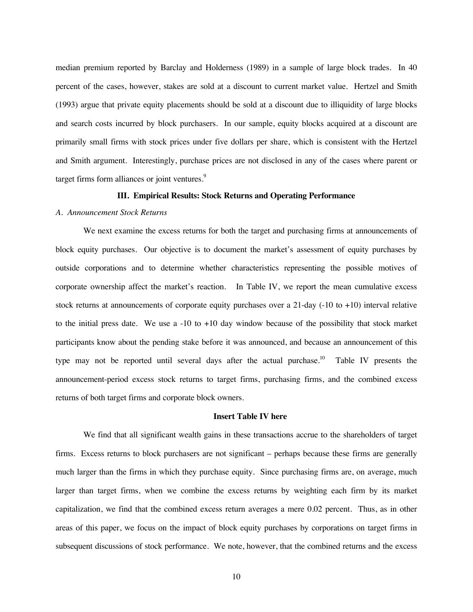median premium reported by Barclay and Holderness (1989) in a sample of large block trades. In 40 percent of the cases, however, stakes are sold at a discount to current market value. Hertzel and Smith (1993) argue that private equity placements should be sold at a discount due to illiquidity of large blocks and search costs incurred by block purchasers. In our sample, equity blocks acquired at a discount are primarily small firms with stock prices under five dollars per share, which is consistent with the Hertzel and Smith argument. Interestingly, purchase prices are not disclosed in any of the cases where parent or target firms form alliances or joint ventures.<sup>9</sup>

# **III. Empirical Results: Stock Returns and Operating Performance**

# *A. Announcement Stock Returns*

We next examine the excess returns for both the target and purchasing firms at announcements of block equity purchases. Our objective is to document the market's assessment of equity purchases by outside corporations and to determine whether characteristics representing the possible motives of corporate ownership affect the market's reaction. In Table IV, we report the mean cumulative excess stock returns at announcements of corporate equity purchases over a 21-day (-10 to +10) interval relative to the initial press date. We use a -10 to +10 day window because of the possibility that stock market participants know about the pending stake before it was announced, and because an announcement of this type may not be reported until several days after the actual purchase.<sup>10</sup> Table IV presents the announcement-period excess stock returns to target firms, purchasing firms, and the combined excess returns of both target firms and corporate block owners.

#### **Insert Table IV here**

We find that all significant wealth gains in these transactions accrue to the shareholders of target firms. Excess returns to block purchasers are not significant – perhaps because these firms are generally much larger than the firms in which they purchase equity. Since purchasing firms are, on average, much larger than target firms, when we combine the excess returns by weighting each firm by its market capitalization, we find that the combined excess return averages a mere 0.02 percent. Thus, as in other areas of this paper, we focus on the impact of block equity purchases by corporations on target firms in subsequent discussions of stock performance. We note, however, that the combined returns and the excess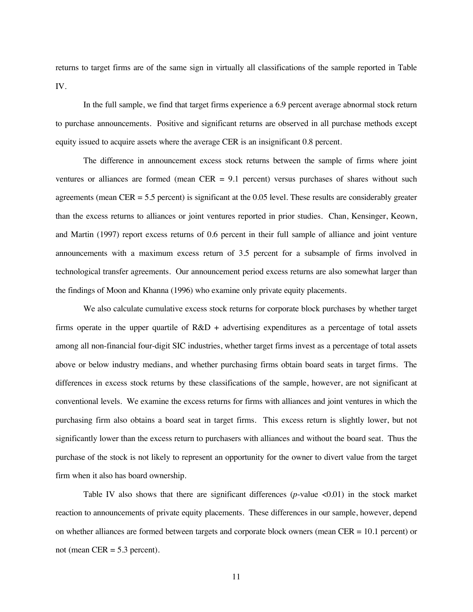returns to target firms are of the same sign in virtually all classifications of the sample reported in Table IV.

In the full sample, we find that target firms experience a 6.9 percent average abnormal stock return to purchase announcements. Positive and significant returns are observed in all purchase methods except equity issued to acquire assets where the average CER is an insignificant 0.8 percent.

The difference in announcement excess stock returns between the sample of firms where joint ventures or alliances are formed (mean CER = 9.1 percent) versus purchases of shares without such agreements (mean CER = 5.5 percent) is significant at the 0.05 level. These results are considerably greater than the excess returns to alliances or joint ventures reported in prior studies. Chan, Kensinger, Keown, and Martin (1997) report excess returns of 0.6 percent in their full sample of alliance and joint venture announcements with a maximum excess return of 3.5 percent for a subsample of firms involved in technological transfer agreements. Our announcement period excess returns are also somewhat larger than the findings of Moon and Khanna (1996) who examine only private equity placements.

We also calculate cumulative excess stock returns for corporate block purchases by whether target firms operate in the upper quartile of  $R&D$  + advertising expenditures as a percentage of total assets among all non-financial four-digit SIC industries, whether target firms invest as a percentage of total assets above or below industry medians, and whether purchasing firms obtain board seats in target firms. The differences in excess stock returns by these classifications of the sample, however, are not significant at conventional levels. We examine the excess returns for firms with alliances and joint ventures in which the purchasing firm also obtains a board seat in target firms. This excess return is slightly lower, but not significantly lower than the excess return to purchasers with alliances and without the board seat. Thus the purchase of the stock is not likely to represent an opportunity for the owner to divert value from the target firm when it also has board ownership.

Table IV also shows that there are significant differences (*p*-value <0.01) in the stock market reaction to announcements of private equity placements. These differences in our sample, however, depend on whether alliances are formed between targets and corporate block owners (mean CER = 10.1 percent) or not (mean  $CER = 5.3$  percent).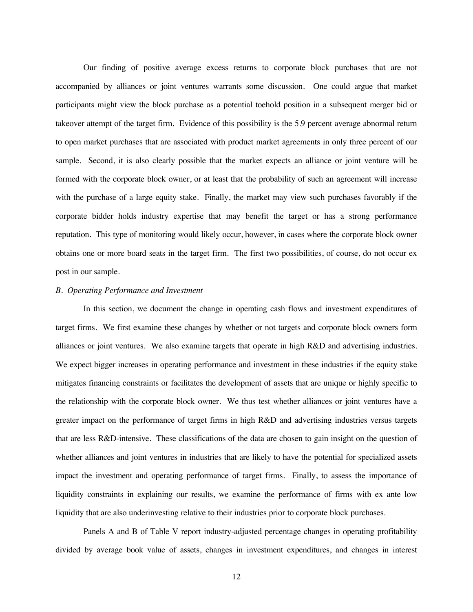Our finding of positive average excess returns to corporate block purchases that are not accompanied by alliances or joint ventures warrants some discussion. One could argue that market participants might view the block purchase as a potential toehold position in a subsequent merger bid or takeover attempt of the target firm. Evidence of this possibility is the 5.9 percent average abnormal return to open market purchases that are associated with product market agreements in only three percent of our sample. Second, it is also clearly possible that the market expects an alliance or joint venture will be formed with the corporate block owner, or at least that the probability of such an agreement will increase with the purchase of a large equity stake. Finally, the market may view such purchases favorably if the corporate bidder holds industry expertise that may benefit the target or has a strong performance reputation. This type of monitoring would likely occur, however, in cases where the corporate block owner obtains one or more board seats in the target firm. The first two possibilities, of course, do not occur ex post in our sample.

### *B. Operating Performance and Investment*

In this section, we document the change in operating cash flows and investment expenditures of target firms. We first examine these changes by whether or not targets and corporate block owners form alliances or joint ventures. We also examine targets that operate in high R&D and advertising industries. We expect bigger increases in operating performance and investment in these industries if the equity stake mitigates financing constraints or facilitates the development of assets that are unique or highly specific to the relationship with the corporate block owner. We thus test whether alliances or joint ventures have a greater impact on the performance of target firms in high R&D and advertising industries versus targets that are less R&D-intensive. These classifications of the data are chosen to gain insight on the question of whether alliances and joint ventures in industries that are likely to have the potential for specialized assets impact the investment and operating performance of target firms. Finally, to assess the importance of liquidity constraints in explaining our results, we examine the performance of firms with ex ante low liquidity that are also underinvesting relative to their industries prior to corporate block purchases.

Panels A and B of Table V report industry-adjusted percentage changes in operating profitability divided by average book value of assets, changes in investment expenditures, and changes in interest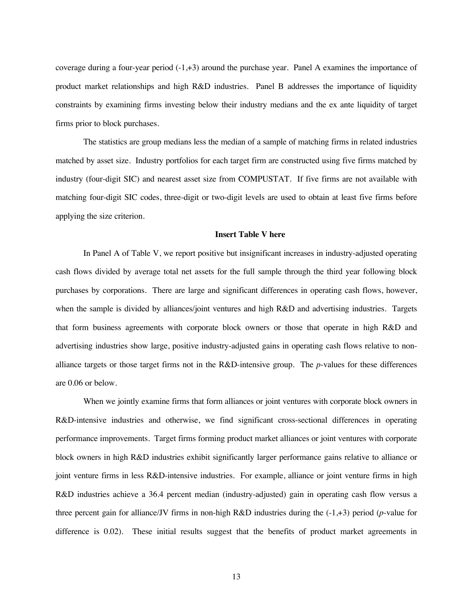coverage during a four-year period (-1,+3) around the purchase year. Panel A examines the importance of product market relationships and high R&D industries. Panel B addresses the importance of liquidity constraints by examining firms investing below their industry medians and the ex ante liquidity of target firms prior to block purchases.

The statistics are group medians less the median of a sample of matching firms in related industries matched by asset size. Industry portfolios for each target firm are constructed using five firms matched by industry (four-digit SIC) and nearest asset size from COMPUSTAT. If five firms are not available with matching four-digit SIC codes, three-digit or two-digit levels are used to obtain at least five firms before applying the size criterion.

#### **Insert Table V here**

In Panel A of Table V, we report positive but insignificant increases in industry-adjusted operating cash flows divided by average total net assets for the full sample through the third year following block purchases by corporations. There are large and significant differences in operating cash flows, however, when the sample is divided by alliances/joint ventures and high R&D and advertising industries. Targets that form business agreements with corporate block owners or those that operate in high R&D and advertising industries show large, positive industry-adjusted gains in operating cash flows relative to nonalliance targets or those target firms not in the R&D-intensive group. The *p*-values for these differences are 0.06 or below.

When we jointly examine firms that form alliances or joint ventures with corporate block owners in R&D-intensive industries and otherwise, we find significant cross-sectional differences in operating performance improvements. Target firms forming product market alliances or joint ventures with corporate block owners in high R&D industries exhibit significantly larger performance gains relative to alliance or joint venture firms in less R&D-intensive industries. For example, alliance or joint venture firms in high R&D industries achieve a 36.4 percent median (industry-adjusted) gain in operating cash flow versus a three percent gain for alliance/JV firms in non-high R&D industries during the (-1,+3) period (*p*-value for difference is 0.02). These initial results suggest that the benefits of product market agreements in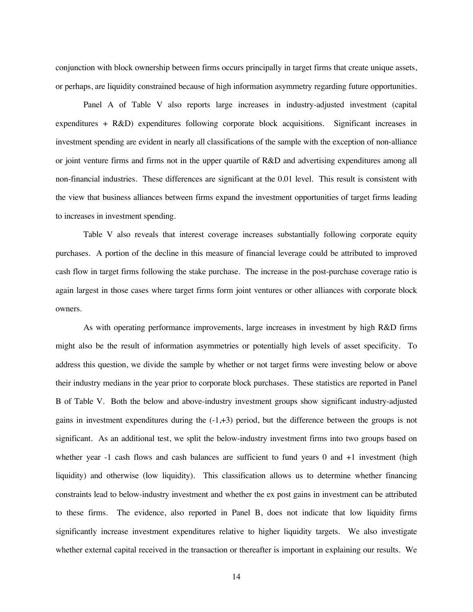conjunction with block ownership between firms occurs principally in target firms that create unique assets, or perhaps, are liquidity constrained because of high information asymmetry regarding future opportunities.

Panel A of Table V also reports large increases in industry-adjusted investment (capital expenditures + R&D) expenditures following corporate block acquisitions. Significant increases in investment spending are evident in nearly all classifications of the sample with the exception of non-alliance or joint venture firms and firms not in the upper quartile of R&D and advertising expenditures among all non-financial industries. These differences are significant at the 0.01 level. This result is consistent with the view that business alliances between firms expand the investment opportunities of target firms leading to increases in investment spending.

Table V also reveals that interest coverage increases substantially following corporate equity purchases. A portion of the decline in this measure of financial leverage could be attributed to improved cash flow in target firms following the stake purchase. The increase in the post-purchase coverage ratio is again largest in those cases where target firms form joint ventures or other alliances with corporate block owners.

As with operating performance improvements, large increases in investment by high R&D firms might also be the result of information asymmetries or potentially high levels of asset specificity. To address this question, we divide the sample by whether or not target firms were investing below or above their industry medians in the year prior to corporate block purchases. These statistics are reported in Panel B of Table V. Both the below and above-industry investment groups show significant industry-adjusted gains in investment expenditures during the  $(-1, +3)$  period, but the difference between the groups is not significant. As an additional test, we split the below-industry investment firms into two groups based on whether year  $-1$  cash flows and cash balances are sufficient to fund years 0 and  $+1$  investment (high liquidity) and otherwise (low liquidity). This classification allows us to determine whether financing constraints lead to below-industry investment and whether the ex post gains in investment can be attributed to these firms. The evidence, also reported in Panel B, does not indicate that low liquidity firms significantly increase investment expenditures relative to higher liquidity targets. We also investigate whether external capital received in the transaction or thereafter is important in explaining our results. We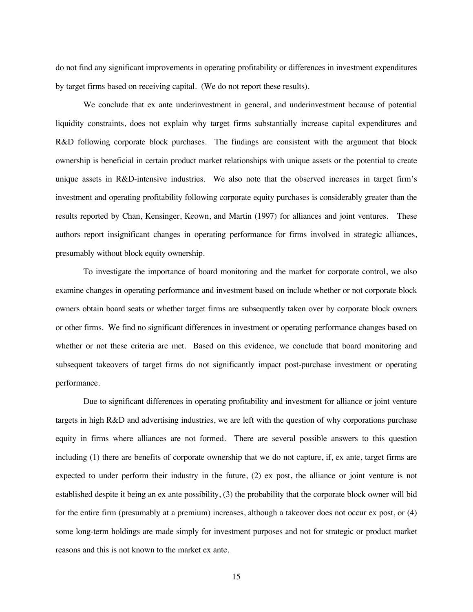do not find any significant improvements in operating profitability or differences in investment expenditures by target firms based on receiving capital. (We do not report these results).

We conclude that ex ante underinvestment in general, and underinvestment because of potential liquidity constraints, does not explain why target firms substantially increase capital expenditures and R&D following corporate block purchases. The findings are consistent with the argument that block ownership is beneficial in certain product market relationships with unique assets or the potential to create unique assets in R&D-intensive industries. We also note that the observed increases in target firm's investment and operating profitability following corporate equity purchases is considerably greater than the results reported by Chan, Kensinger, Keown, and Martin (1997) for alliances and joint ventures. These authors report insignificant changes in operating performance for firms involved in strategic alliances, presumably without block equity ownership.

To investigate the importance of board monitoring and the market for corporate control, we also examine changes in operating performance and investment based on include whether or not corporate block owners obtain board seats or whether target firms are subsequently taken over by corporate block owners or other firms. We find no significant differences in investment or operating performance changes based on whether or not these criteria are met. Based on this evidence, we conclude that board monitoring and subsequent takeovers of target firms do not significantly impact post-purchase investment or operating performance.

Due to significant differences in operating profitability and investment for alliance or joint venture targets in high R&D and advertising industries, we are left with the question of why corporations purchase equity in firms where alliances are not formed. There are several possible answers to this question including (1) there are benefits of corporate ownership that we do not capture, if, ex ante, target firms are expected to under perform their industry in the future, (2) ex post, the alliance or joint venture is not established despite it being an ex ante possibility, (3) the probability that the corporate block owner will bid for the entire firm (presumably at a premium) increases, although a takeover does not occur ex post, or (4) some long-term holdings are made simply for investment purposes and not for strategic or product market reasons and this is not known to the market ex ante.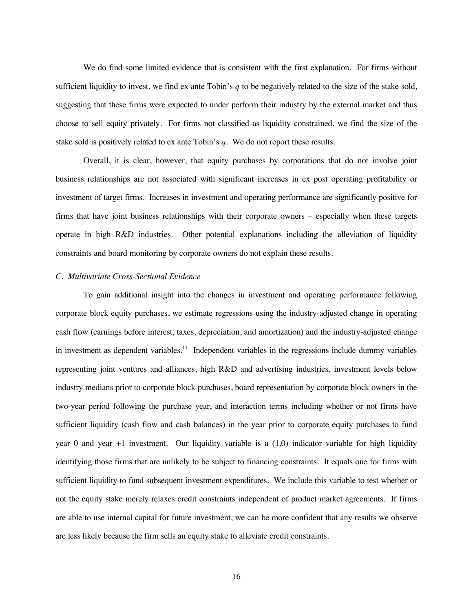We do find some limited evidence that is consistent with the first explanation. For firms without sufficient liquidity to invest, we find ex ante Tobin's *q* to be negatively related to the size of the stake sold, suggesting that these firms were expected to under perform their industry by the external market and thus choose to sell equity privately. For firms not classified as liquidity constrained, we find the size of the stake sold is positively related to ex ante Tobin's *q*. We do not report these results.

Overall, it is clear, however, that equity purchases by corporations that do not involve joint business relationships are not associated with significant increases in ex post operating profitability or investment of target firms. Increases in investment and operating performance are significantly positive for firms that have joint business relationships with their corporate owners – especially when these targets operate in high R&D industries. Other potential explanations including the alleviation of liquidity constraints and board monitoring by corporate owners do not explain these results.

#### *C. Multivariate Cross-Sectional Evidence*

To gain additional insight into the changes in investment and operating performance following corporate block equity purchases, we estimate regressions using the industry-adjusted change in operating cash flow (earnings before interest, taxes, depreciation, and amortization) and the industry-adjusted change in investment as dependent variables.<sup>11</sup> Independent variables in the regressions include dummy variables representing joint ventures and alliances, high R&D and advertising industries, investment levels below industry medians prior to corporate block purchases, board representation by corporate block owners in the two-year period following the purchase year, and interaction terms including whether or not firms have sufficient liquidity (cash flow and cash balances) in the year prior to corporate equity purchases to fund year 0 and year +1 investment. Our liquidity variable is a (1,0) indicator variable for high liquidity identifying those firms that are unlikely to be subject to financing constraints. It equals one for firms with sufficient liquidity to fund subsequent investment expenditures. We include this variable to test whether or not the equity stake merely relaxes credit constraints independent of product market agreements. If firms are able to use internal capital for future investment, we can be more confident that any results we observe are less likely because the firm sells an equity stake to alleviate credit constraints.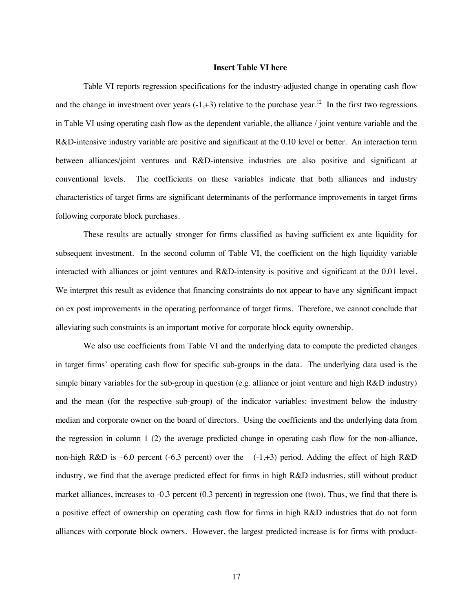# **Insert Table VI here**

Table VI reports regression specifications for the industry-adjusted change in operating cash flow and the change in investment over years  $(-1, +3)$  relative to the purchase year.<sup>12</sup> In the first two regressions in Table VI using operating cash flow as the dependent variable, the alliance / joint venture variable and the R&D-intensive industry variable are positive and significant at the 0.10 level or better. An interaction term between alliances/joint ventures and R&D-intensive industries are also positive and significant at conventional levels. The coefficients on these variables indicate that both alliances and industry characteristics of target firms are significant determinants of the performance improvements in target firms following corporate block purchases.

These results are actually stronger for firms classified as having sufficient ex ante liquidity for subsequent investment. In the second column of Table VI, the coefficient on the high liquidity variable interacted with alliances or joint ventures and R&D-intensity is positive and significant at the 0.01 level. We interpret this result as evidence that financing constraints do not appear to have any significant impact on ex post improvements in the operating performance of target firms. Therefore, we cannot conclude that alleviating such constraints is an important motive for corporate block equity ownership.

We also use coefficients from Table VI and the underlying data to compute the predicted changes in target firms' operating cash flow for specific sub-groups in the data. The underlying data used is the simple binary variables for the sub-group in question (e.g. alliance or joint venture and high R&D industry) and the mean (for the respective sub-group) of the indicator variables: investment below the industry median and corporate owner on the board of directors. Using the coefficients and the underlying data from the regression in column 1 (2) the average predicted change in operating cash flow for the non-alliance, non-high R&D is –6.0 percent (-6.3 percent) over the  $(-1, +3)$  period. Adding the effect of high R&D industry, we find that the average predicted effect for firms in high R&D industries, still without product market alliances, increases to -0.3 percent (0.3 percent) in regression one (two). Thus, we find that there is a positive effect of ownership on operating cash flow for firms in high R&D industries that do not form alliances with corporate block owners. However, the largest predicted increase is for firms with product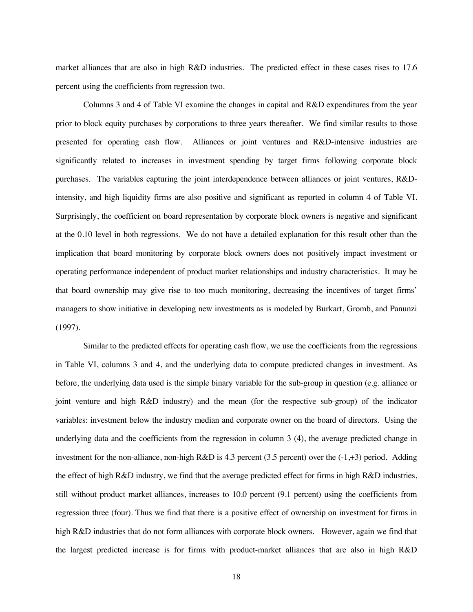market alliances that are also in high R&D industries. The predicted effect in these cases rises to 17.6 percent using the coefficients from regression two.

Columns 3 and 4 of Table VI examine the changes in capital and R&D expenditures from the year prior to block equity purchases by corporations to three years thereafter. We find similar results to those presented for operating cash flow. Alliances or joint ventures and R&D-intensive industries are significantly related to increases in investment spending by target firms following corporate block purchases. The variables capturing the joint interdependence between alliances or joint ventures, R&Dintensity, and high liquidity firms are also positive and significant as reported in column 4 of Table VI. Surprisingly, the coefficient on board representation by corporate block owners is negative and significant at the 0.10 level in both regressions. We do not have a detailed explanation for this result other than the implication that board monitoring by corporate block owners does not positively impact investment or operating performance independent of product market relationships and industry characteristics. It may be that board ownership may give rise to too much monitoring, decreasing the incentives of target firms' managers to show initiative in developing new investments as is modeled by Burkart, Gromb, and Panunzi (1997).

Similar to the predicted effects for operating cash flow, we use the coefficients from the regressions in Table VI, columns 3 and 4, and the underlying data to compute predicted changes in investment. As before, the underlying data used is the simple binary variable for the sub-group in question (e.g. alliance or joint venture and high R&D industry) and the mean (for the respective sub-group) of the indicator variables: investment below the industry median and corporate owner on the board of directors. Using the underlying data and the coefficients from the regression in column 3 (4), the average predicted change in investment for the non-alliance, non-high R&D is 4.3 percent (3.5 percent) over the  $(-1, +3)$  period. Adding the effect of high R&D industry, we find that the average predicted effect for firms in high R&D industries, still without product market alliances, increases to 10.0 percent (9.1 percent) using the coefficients from regression three (four). Thus we find that there is a positive effect of ownership on investment for firms in high R&D industries that do not form alliances with corporate block owners. However, again we find that the largest predicted increase is for firms with product-market alliances that are also in high R&D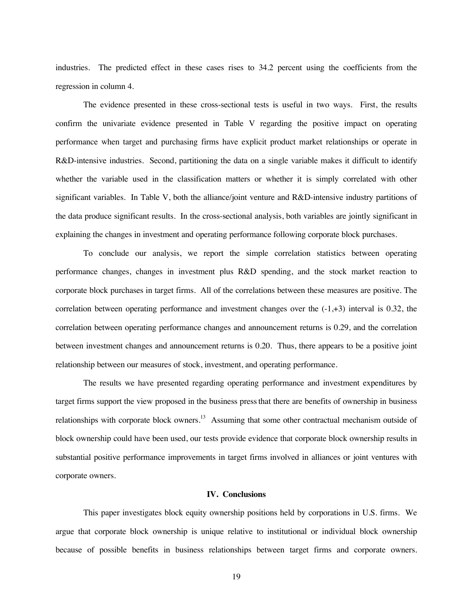industries. The predicted effect in these cases rises to 34.2 percent using the coefficients from the regression in column 4.

The evidence presented in these cross-sectional tests is useful in two ways. First, the results confirm the univariate evidence presented in Table V regarding the positive impact on operating performance when target and purchasing firms have explicit product market relationships or operate in R&D-intensive industries. Second, partitioning the data on a single variable makes it difficult to identify whether the variable used in the classification matters or whether it is simply correlated with other significant variables. In Table V, both the alliance/joint venture and R&D-intensive industry partitions of the data produce significant results. In the cross-sectional analysis, both variables are jointly significant in explaining the changes in investment and operating performance following corporate block purchases.

To conclude our analysis, we report the simple correlation statistics between operating performance changes, changes in investment plus R&D spending, and the stock market reaction to corporate block purchases in target firms. All of the correlations between these measures are positive. The correlation between operating performance and investment changes over the  $(-1, +3)$  interval is 0.32, the correlation between operating performance changes and announcement returns is 0.29, and the correlation between investment changes and announcement returns is 0.20. Thus, there appears to be a positive joint relationship between our measures of stock, investment, and operating performance.

The results we have presented regarding operating performance and investment expenditures by target firms support the view proposed in the business pressthat there are benefits of ownership in business relationships with corporate block owners.<sup>13</sup> Assuming that some other contractual mechanism outside of block ownership could have been used, our tests provide evidence that corporate block ownership results in substantial positive performance improvements in target firms involved in alliances or joint ventures with corporate owners.

## **IV. Conclusions**

This paper investigates block equity ownership positions held by corporations in U.S. firms. We argue that corporate block ownership is unique relative to institutional or individual block ownership because of possible benefits in business relationships between target firms and corporate owners.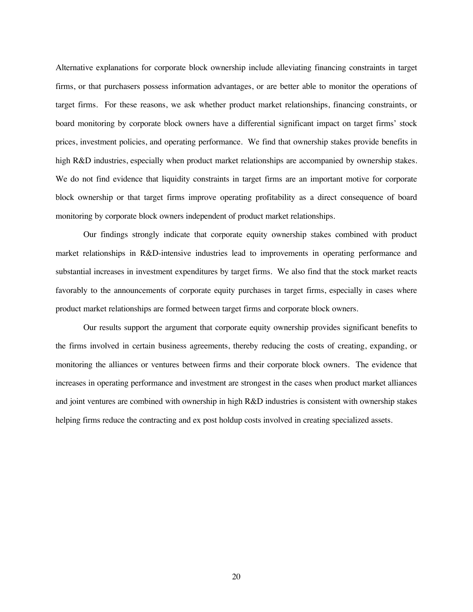Alternative explanations for corporate block ownership include alleviating financing constraints in target firms, or that purchasers possess information advantages, or are better able to monitor the operations of target firms. For these reasons, we ask whether product market relationships, financing constraints, or board monitoring by corporate block owners have a differential significant impact on target firms' stock prices, investment policies, and operating performance. We find that ownership stakes provide benefits in high R&D industries, especially when product market relationships are accompanied by ownership stakes. We do not find evidence that liquidity constraints in target firms are an important motive for corporate block ownership or that target firms improve operating profitability as a direct consequence of board monitoring by corporate block owners independent of product market relationships.

Our findings strongly indicate that corporate equity ownership stakes combined with product market relationships in R&D-intensive industries lead to improvements in operating performance and substantial increases in investment expenditures by target firms. We also find that the stock market reacts favorably to the announcements of corporate equity purchases in target firms, especially in cases where product market relationships are formed between target firms and corporate block owners.

Our results support the argument that corporate equity ownership provides significant benefits to the firms involved in certain business agreements, thereby reducing the costs of creating, expanding, or monitoring the alliances or ventures between firms and their corporate block owners. The evidence that increases in operating performance and investment are strongest in the cases when product market alliances and joint ventures are combined with ownership in high R&D industries is consistent with ownership stakes helping firms reduce the contracting and ex post holdup costs involved in creating specialized assets.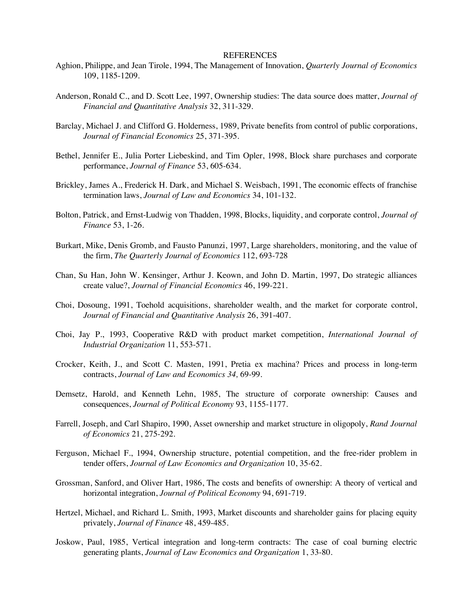#### **REFERENCES**

- Aghion, Philippe, and Jean Tirole, 1994, The Management of Innovation, *Quarterly Journal of Economics* 109, 1185-1209.
- Anderson, Ronald C., and D. Scott Lee, 1997, Ownership studies: The data source does matter, *Journal of Financial and Quantitative Analysis* 32, 311-329.
- Barclay, Michael J. and Clifford G. Holderness, 1989, Private benefits from control of public corporations, *Journal of Financial Economics* 25, 371-395.
- Bethel, Jennifer E., Julia Porter Liebeskind, and Tim Opler, 1998, Block share purchases and corporate performance, *Journal of Finance* 53, 605-634.
- Brickley, James A., Frederick H. Dark, and Michael S. Weisbach, 1991, The economic effects of franchise termination laws, *Journal of Law and Economics* 34, 101-132.
- Bolton, Patrick, and Ernst-Ludwig von Thadden, 1998, Blocks, liquidity, and corporate control, *Journal of Finance* 53, 1-26.
- Burkart, Mike, Denis Gromb, and Fausto Panunzi, 1997, Large shareholders, monitoring, and the value of the firm, *The Quarterly Journal of Economics* 112, 693-728
- Chan, Su Han, John W. Kensinger, Arthur J. Keown, and John D. Martin, 1997, Do strategic alliances create value?, *Journal of Financial Economics* 46, 199-221.
- Choi, Dosoung, 1991, Toehold acquisitions, shareholder wealth, and the market for corporate control, *Journal of Financial and Quantitative Analysis* 26, 391-407.
- Choi, Jay P., 1993, Cooperative R&D with product market competition, *International Journal of Industrial Organization* 11, 553-571.
- Crocker, Keith, J., and Scott C. Masten, 1991, Pretia ex machina? Prices and process in long-term contracts, *Journal of Law and Economics 34,* 69-99.
- Demsetz, Harold, and Kenneth Lehn, 1985, The structure of corporate ownership: Causes and consequences, *Journal of Political Economy* 93, 1155-1177.
- Farrell, Joseph, and Carl Shapiro, 1990, Asset ownership and market structure in oligopoly, *Rand Journal of Economics* 21, 275-292.
- Ferguson, Michael F., 1994, Ownership structure, potential competition, and the free-rider problem in tender offers, *Journal of Law Economics and Organization* 10, 35-62.
- Grossman, Sanford, and Oliver Hart, 1986, The costs and benefits of ownership: A theory of vertical and horizontal integration, *Journal of Political Economy* 94, 691-719.
- Hertzel, Michael, and Richard L. Smith, 1993, Market discounts and shareholder gains for placing equity privately, *Journal of Finance* 48, 459-485.
- Joskow, Paul, 1985, Vertical integration and long-term contracts: The case of coal burning electric generating plants, *Journal of Law Economics and Organization* 1, 33-80.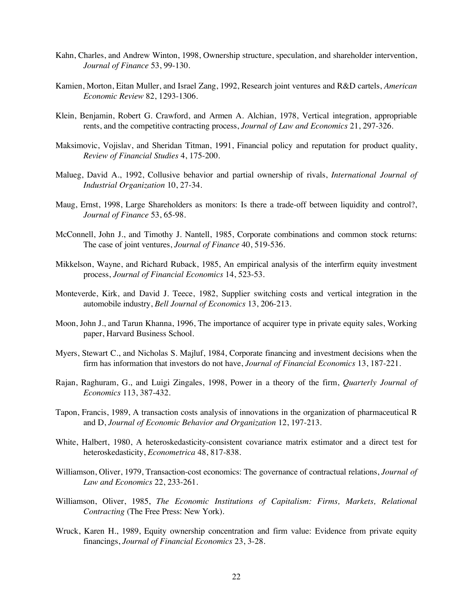- Kahn, Charles, and Andrew Winton, 1998, Ownership structure, speculation, and shareholder intervention, *Journal of Finance* 53, 99-130.
- Kamien, Morton, Eitan Muller, and Israel Zang, 1992, Research joint ventures and R&D cartels, *American Economic Review* 82, 1293-1306.
- Klein, Benjamin, Robert G. Crawford, and Armen A. Alchian, 1978, Vertical integration, appropriable rents, and the competitive contracting process, *Journal of Law and Economics* 21, 297-326.
- Maksimovic, Vojislav, and Sheridan Titman, 1991, Financial policy and reputation for product quality, *Review of Financial Studies* 4, 175-200.
- Malueg, David A., 1992, Collusive behavior and partial ownership of rivals, *International Journal of Industrial Organization* 10, 27-34.
- Maug, Ernst, 1998, Large Shareholders as monitors: Is there a trade-off between liquidity and control?, *Journal of Finance* 53, 65-98.
- McConnell, John J., and Timothy J. Nantell, 1985, Corporate combinations and common stock returns: The case of joint ventures, *Journal of Finance* 40, 519-536.
- Mikkelson, Wayne, and Richard Ruback, 1985, An empirical analysis of the interfirm equity investment process, *Journal of Financial Economics* 14, 523-53.
- Monteverde, Kirk, and David J. Teece, 1982, Supplier switching costs and vertical integration in the automobile industry, *Bell Journal of Economics* 13, 206-213.
- Moon, John J., and Tarun Khanna, 1996, The importance of acquirer type in private equity sales, Working paper, Harvard Business School.
- Myers, Stewart C., and Nicholas S. Majluf, 1984, Corporate financing and investment decisions when the firm has information that investors do not have, *Journal of Financial Economics* 13, 187-221.
- Rajan, Raghuram, G., and Luigi Zingales, 1998, Power in a theory of the firm, *Quarterly Journal of Economics* 113, 387-432*.*
- Tapon, Francis, 1989, A transaction costs analysis of innovations in the organization of pharmaceutical R and D, *Journal of Economic Behavior and Organization* 12, 197-213.
- White, Halbert, 1980, A heteroskedasticity-consistent covariance matrix estimator and a direct test for heteroskedasticity, *Econometrica* 48, 817-838.
- Williamson, Oliver, 1979, Transaction-cost economics: The governance of contractual relations, *Journal of Law and Economics* 22, 233-261.
- Williamson, Oliver, 1985, *The Economic Institutions of Capitalism: Firms, Markets, Relational Contracting* (The Free Press: New York).
- Wruck, Karen H., 1989, Equity ownership concentration and firm value: Evidence from private equity financings, *Journal of Financial Economics* 23, 3-28.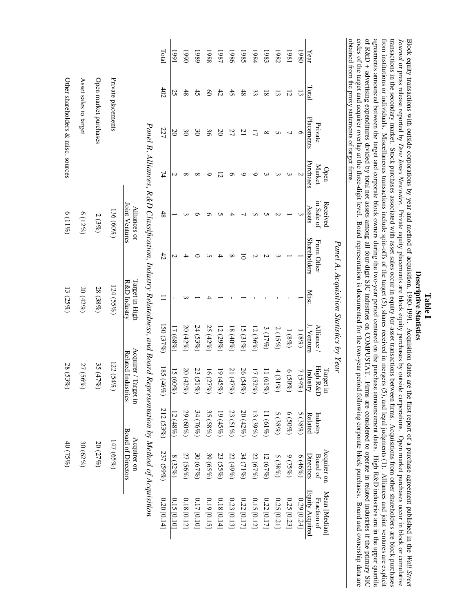| g<br>č<br>J<br>z<br>Ξ<br>7<br>G<br>c<br>۶<br>ï<br>rausi<br>គូ |  |
|---------------------------------------------------------------|--|
|---------------------------------------------------------------|--|

codes of the target and acquirer overlap at the three-digit level. Board representation is documented for the two-year period following corporate block purchases. Board and ownership data are agreements announced between the target and corporate block owners during the two-year period centered on the purchase announcement dates. High R&D industries are in the upper quartile of R&D + advertising expenditures div obtained from the proxy statements of target firms. transactions in the secondary market. Stock purchases associated with asset sales occur in equity-for-asset transactions between firms. Acquisitions from other shareholders are block purchases Block equity transactions with outside corporations by year and method of acquisition, 1980-1991. Acquisition dates are the first report of a purchase agreement published in the Wall Street from institutions or individuals. Miscellaneous transactions include spin-offs of the target (5), shares received in mergers (5), and legal judgments (1). Alliances and joint ventures are explicii from institutions or individuals. Miscellaneous transactions transport transport in merget (5), and legal judgments (5), and legal judgments (5), and legal judgments (5), and iegal judgments (5), and iegal judgments (5), a transactions in the secondary market. Stock purchases associated with asset transactions between firms,  $\frac{1}{2}$  and  $\frac{1}{2}$  and  $\frac{1}{2}$  and  $\frac{1}{2}$  and  $\frac{1}{2}$  and  $\frac{1}{2}$  and  $\frac{1}{2}$  and  $\frac{1}{2}$  and  $\frac{1}{$ *Journal* or press release reported by *Dow Jones Newswire*. Private equity placements are block equity purchases by outside corporations. Open market purchases occur in block or cumulative Block equity transactions with outside corporations by year and method of acquisition, 1980-1991. Acquisition dates are the first report of a purchase agreement published in the obtained from the proxy statements of target firms. of R&D + advertising expenditures divided by total net assets among all four-digit SIC industries on COMPUSTAT. Firms are considered to operate in related industries if the primary SIC agreements announced between the target and corporate block owners during the two-year period centered on the purchase announcement dates. High R&D industries are in the upper quartile of the target and acquirer overlap at the three-digit level. Board representation is documented for the two-year period following corporate block purchases. Board and ownership data are or press release reported by *Dow Jones Newswire*. Private equity placements are block equity purchases by outside corporations. Open market purchases occur in block or cumulative *Wall Street*

|                       |                    |                                            |                                                                                                                 | [otal       | 1661        | 0661          | <b>6861</b> | 1988         | 1987          | 9861          | 1985        | 1984        | 1983           | 1982        | 1861           | 1980        | Year                                   |               |                                         |
|-----------------------|--------------------|--------------------------------------------|-----------------------------------------------------------------------------------------------------------------|-------------|-------------|---------------|-------------|--------------|---------------|---------------|-------------|-------------|----------------|-------------|----------------|-------------|----------------------------------------|---------------|-----------------------------------------|
|                       | Private placements |                                            |                                                                                                                 | 402         | 25          | 48            | 45          | $\mathbf{S}$ | 42            | 45            | 48          | 33          | $\overline{8}$ | 13          | $\overline{5}$ | 13          | Total                                  |               |                                         |
| Open market purchases |                    |                                            |                                                                                                                 | 227         | $\infty$    | ပိ            | SO          | 96           |               | 27            |             |             |                |             |                |             | Placements<br>Private                  |               |                                         |
|                       |                    |                                            |                                                                                                                 | 74          | S           |               |             |              |               |               |             |             |                |             |                |             | Purchases<br>Market<br>Open            |               |                                         |
| 2(3%)                 | $136(60\%)$        | Joint Ventures<br>Alliances or             |                                                                                                                 | 48          |             |               |             |              |               |               |             |             |                |             |                |             | in Sale of<br>Assets                   | Received      |                                         |
|                       |                    |                                            | Panel B. Alliances, R&D Classification, Industry Relatedness, and Board Representation by Method of Acquisition | 42          |             |               |             |              |               |               |             |             |                |             |                |             | <b>Shareholders</b><br>From Other      |               |                                         |
| 28 (38%)              | (255)              | Farget in High<br>R&D Industry             |                                                                                                                 |             |             |               |             |              |               |               |             |             |                |             |                |             | Misc.                                  |               |                                         |
|                       |                    |                                            |                                                                                                                 | (379)       | $(7.68\%)$  | 20(42%)       | 24 (53%)    | 25 (42%)     | 12(29%)       | $(8.04)$ 81   | (5 (31%)    | 12(36%)     | 3(17%)         | 2(15%)      | $1 (8\%)$      | $(8\%)$     | Alliance /<br>. Venture                |               | Panel A. Acquisition Statistics by Year |
| 35 (47%)              | $122(54\%)$        | Acquirer / Target in<br>Related Industries |                                                                                                                 | 185 (46%)   | $15(60\%)$  | 20 (42°<br>Š, | 23 (51%)    | 16(27%)      | 19(459)<br>È) | 21(47%)       | 26 (54%)    | 17(52%)     | (1 (61%)       | 4(31%)      | (9605)         | 7(54%)      | High R.<br>Target in<br>Industry<br>&D |               |                                         |
|                       |                    |                                            |                                                                                                                 | 212 (53%)   | $12(48\%)$  | 29 (60%)      | $34(76\%)$  | 35 (58%)     | (965t)        | 23 (51%)      | 20 (42%)    | 13 (39%)    | (11(61%)       | 5 (38%)     | (2005)9        | 5(38%)      | $\mathop{\text{Industry}}$<br>Related  |               |                                         |
| 20 (27%)              | $147(65\%)$        | Board of Directors<br>Acquirer on          |                                                                                                                 | 237 (59%)   | 8(32%)      | 27 (56%)      | 30(67%)     | $39(65\%)$   | 23 (55%)      | 22(49%)       | 34(71%)     | 22 (67%)    | 12(67%)        | 5 (38%)     | (9652)         | $(40\%)$    | Acquirer on<br>Board of<br>Directors   |               |                                         |
|                       |                    |                                            |                                                                                                                 | 0.20 [0.14] | 0.15 [0.10] | 0.18 [0.12]   | 0.17 [0.10] | 0.19 [0.15]  | 0.18 [0.14]   | $0.23$ [0.13] | 0.22 [0.17] | 0.15 [0.12] | 0.22 [0.17]    | 0.25 [0.21] | 0.25 [0.23]    | 0.29 [0.24] | Equity Acquired<br>Fraction of         | Mean [Median] |                                         |

Asset sales to target

Asset sales to target

Other shareholders & misc. sources

Other shareholders & misc. sources

6 (12%)

6 (11%)

13 (25%)

28 (53%)

40 (75%)

20 (42%)

27 (56%)

30 (62%)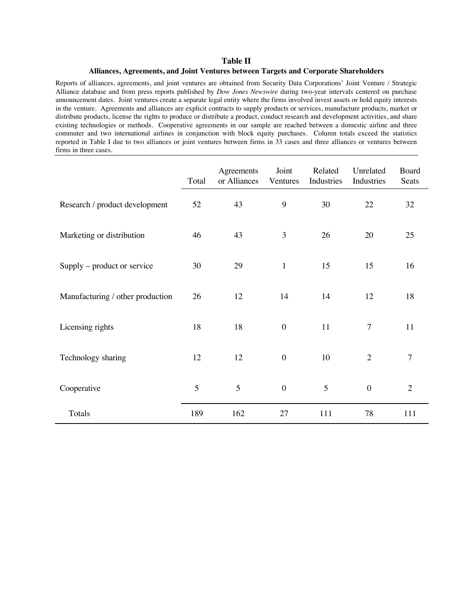## **Table II**

#### **Alliances, Agreements, and Joint Ventures between Targets and Corporate Shareholders**

Reports of alliances, agreements, and joint ventures are obtained from Security Data Corporations' Joint Venture / Strategic Alliance database and from press reports published by *Dow Jones Newswire* during two-year intervals centered on purchase announcement dates. Joint ventures create a separate legal entity where the firms involved invest assets or hold equity interests in the venture. Agreements and alliances are explicit contracts to supply products or services, manufacture products, market or distribute products, license the rights to produce or distribute a product, conduct research and development activities, and share existing technologies or methods. Cooperative agreements in our sample are reached between a domestic airline and three commuter and two international airlines in conjunction with block equity purchases. Column totals exceed the statistics reported in Table I due to two alliances or joint ventures between firms in 33 cases and three alliances or ventures between firms in three cases.

|                                  | Total | Agreements<br>or Alliances | Joint<br>Ventures | Related<br>Industries | Unrelated<br>Industries | Board<br>Seats |
|----------------------------------|-------|----------------------------|-------------------|-----------------------|-------------------------|----------------|
| Research / product development   | 52    | 43                         | 9                 | 30                    | 22                      | 32             |
| Marketing or distribution        | 46    | 43                         | $\mathfrak{Z}$    | 26                    | 20                      | 25             |
| Supply – product or service      | 30    | 29                         | $\mathbf{1}$      | 15                    | 15                      | 16             |
| Manufacturing / other production | 26    | 12                         | 14                | 14                    | 12                      | 18             |
| Licensing rights                 | 18    | 18                         | $\mathbf{0}$      | 11                    | $\tau$                  | 11             |
| Technology sharing               | 12    | 12                         | $\boldsymbol{0}$  | 10                    | $\mathbf{2}$            | $\tau$         |
| Cooperative                      | 5     | 5                          | $\boldsymbol{0}$  | 5                     | $\boldsymbol{0}$        | $\overline{2}$ |
| Totals                           | 189   | 162                        | 27                | 111                   | 78                      | 111            |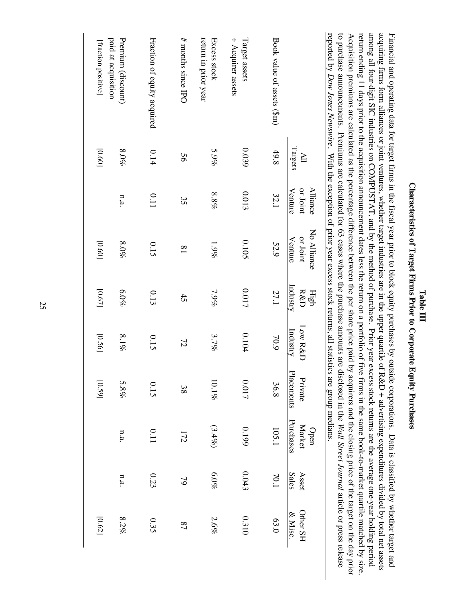| vcteristics of 1 arget Firms Prior to Corporate Equity Pu<br>ADIC ALL |
|-----------------------------------------------------------------------|
|-----------------------------------------------------------------------|

reported by *Dow Jones Newswire*. With the exception of prior year excess stock returns, all statistics are group medians. to purchase announcements. Premiums are calculated for 63 cases where the purchase amounts are disclosed in the Wall Street Journal article or press release Acquisition premiums are calculated as the percentage difference between the per share price paid by acquirers and the closing price of the target on the day prior return ending 11 days prior to the acquisition announcement dates less the return on a portfolio of five firms in the same book-to-market quartile matched by size. among all four-digit SIC industries on COMPUSTAT, and by the method of purchase. Prior year excess stock returns are the average one-year holding period reported by to purchase announcements. Acquisition premiums are calculated as the percentage difference between the per share price paid by acquirers and the closing price of the target on the day prior return ending 11 days prior to the acquisition announcement dates less the return on a portfolio of five firms in the same book-to-market quartile matched by size. among all four-digit SIC industries on COMPUSTAT, and by the method of purchase. Prior year excess stock returns are the average one-year holding period acquiring firms form alliances or joint ventures, whether target industries are in the upper quartile of R&D + advertising expenditures divided by total net assets acquiring firms form alliances or joint ventures, whether target industries are in the upper quartile of R&D + advertising expenditures divided by total net assets Financial and operating data for target firms in the fiscal year prior to block equity purchases by outside corporations. Data is classified by whether target and Financial and operating data for target firms in the fiscal year prior to block equity purchases by outside corporations. Data is classified by whether target and *Dow Jones Newswire*Premiums are calculated for 63 cases where the purchase amounts are disclosed in the . With the exception of prior year excess stock returns, all statistics are group medians. *Wall Street Journal* article or press release

| [fraction positive] | paid at acquisition<br>Premium (discount) | Fraction of equity acquired | $#$ months since IPO | return in prior year<br>Excess stock | ÷ Acquirer assets<br>Target assets | Book value of assets (\$m) |                                        |
|---------------------|-------------------------------------------|-----------------------------|----------------------|--------------------------------------|------------------------------------|----------------------------|----------------------------------------|
| [0.60]              | $8.0\%$                                   | 0.14                        | 56                   | 5.9%                                 | 0.039                              | 49.8                       | Targets<br>$\overline{\mathbb{E}}$     |
|                     | n.a.                                      | 0.11                        | 35                   | $8.8\%$                              | 0.013                              | 32.1                       | <b>Alliance</b><br>or Joint<br>Venture |
| [0.60]              | $8.0\%$                                   | 0.15                        | $\overline{8}$       | $1.9\%$                              | 5010                               | 52.9                       | No Alliance<br>or Joint<br>Venture     |
| [0.67]              | $6.0\%$                                   | 0.13                        | 45                   | 7.9%                                 | 710.0                              | 27.1                       | Industry<br>${\rm R\&D}$<br>High       |
| [0.56]              | $8.1\%$                                   | 0.15                        | 72                   | 3.7%                                 | 0.104                              | 70.9                       | Low R&D<br>Industry                    |
| [650]               | 5.8%                                      | 0.15                        | 38                   | $10.1\%$                             | 710.0                              | 36.8                       | Placements<br>Private                  |
|                     | n.a.                                      | 110                         | 172                  | $(3.4\%)$                            | 6610                               | 105.1                      | Purchases<br><b>Market</b><br>Open     |
|                     | n.a.                                      | 0.23                        | $\sqrt{2}$           | $6.0\%$                              | 0.043                              | 70.1                       | <b>Sales</b><br>Asset                  |
| [0.62]              | $8.2\%$                                   | 0.35                        | $\mathbb{S}7$        | 2.6%                                 | 0.310                              | 63.0                       | Other SH<br>& Misc.                    |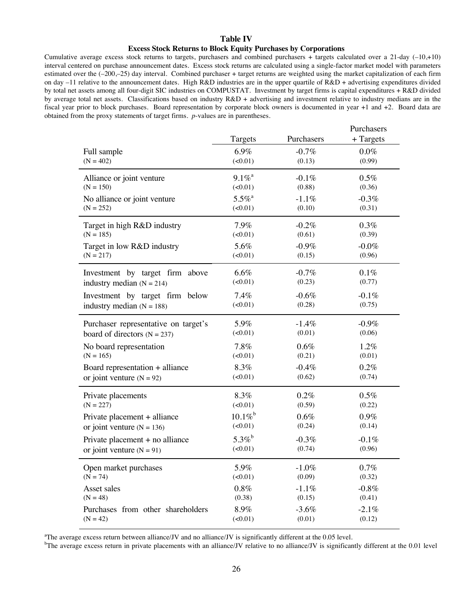# **Table IV**

#### **Excess Stock Returns to Block Equity Purchases by Corporations**

Cumulative average excess stock returns to targets, purchasers and combined purchasers + targets calculated over a 21-day (–10,+10) interval centered on purchase announcement dates. Excess stock returns are calculated using a single-factor market model with parameters estimated over the (–200,–25) day interval. Combined purchaser + target returns are weighted using the market capitalization of each firm on day –11 relative to the announcement dates. High R&D industries are in the upper quartile of R&D + advertising expenditures divided by total net assets among all four-digit SIC industries on COMPUSTAT. Investment by target firms is capital expenditures + R&D divided by average total net assets. Classifications based on industry R&D + advertising and investment relative to industry medians are in the fiscal year prior to block purchases. Board representation by corporate block owners is documented in year +1 and +2. Board data are obtained from the proxy statements of target firms. *p*-values are in parentheses.

|                                             | Targets                         | Purchasers | Purchasers<br>+ Targets |
|---------------------------------------------|---------------------------------|------------|-------------------------|
| Full sample                                 | $6.9\%$                         | $-0.7%$    | $0.0\%$                 |
| $(N = 402)$                                 | (<0.01)                         | (0.13)     | (0.99)                  |
|                                             |                                 |            |                         |
| Alliance or joint venture                   | $9.1\%$ <sup>a</sup>            | $-0.1%$    | 0.5%                    |
| $(N = 150)$                                 | (<0.01)                         | (0.88)     | (0.36)                  |
| No alliance or joint venture<br>$(N = 252)$ | $5.5\%$ <sup>a</sup><br>(<0.01) | $-1.1%$    | $-0.3%$<br>(0.31)       |
|                                             |                                 | (0.10)     |                         |
| Target in high R&D industry                 | 7.9%                            | $-0.2%$    | 0.3%                    |
| $(N = 185)$                                 | (<0.01)                         | (0.61)     | (0.39)                  |
| Target in low R&D industry                  | 5.6%                            | $-0.9\%$   | $-0.0\%$                |
| $(N = 217)$                                 | (<0.01)                         | (0.15)     | (0.96)                  |
| Investment by target firm above             | 6.6%                            | $-0.7%$    | 0.1%                    |
| industry median $(N = 214)$                 | (<0.01)                         | (0.23)     | (0.77)                  |
| Investment by target firm below             | 7.4%                            | $-0.6%$    | $-0.1%$                 |
| industry median $(N = 188)$                 | (<0.01)                         | (0.28)     | (0.75)                  |
|                                             |                                 |            |                         |
| Purchaser representative on target's        | 5.9%                            | $-1.4%$    | $-0.9\%$                |
| board of directors ( $N = 237$ )            | (<0.01)                         | (0.01)     | (0.06)                  |
| No board representation                     | 7.8%                            | $0.6\%$    | 1.2%                    |
| $(N = 165)$                                 | (<0.01)                         | (0.21)     | (0.01)                  |
| Board representation + alliance             | 8.3%                            | -0.4%      | 0.2%                    |
| or joint venture $(N = 92)$                 | (<0.01)                         | (0.62)     | (0.74)                  |
| Private placements                          | 8.3%                            | 0.2%       | 0.5%                    |
| $(N = 227)$                                 | (<0.01)                         | (0.59)     | (0.22)                  |
| Private placement + alliance                | $10.1\%$                        | $0.6\%$    | 0.9%                    |
| or joint venture $(N = 136)$                | (<0.01)                         | (0.24)     | (0.14)                  |
| Private placement + no alliance             | $5.3\%$ <sup>b</sup>            | $-0.3%$    | $-0.1%$                 |
| or joint venture $(N = 91)$                 | (<0.01)                         | (0.74)     | (0.96)                  |
|                                             |                                 |            |                         |
| Open market purchases                       | 5.9%                            | $-1.0%$    | 0.7%                    |
| $(N = 74)$                                  | (<0.01)                         | (0.09)     | (0.32)                  |
| Asset sales                                 | $0.8\%$                         | -1.1%      | $-0.8%$                 |
| $(N = 48)$                                  | (0.38)                          | (0.15)     | (0.41)                  |
| Purchases from other shareholders           | 8.9%                            | $-3.6%$    | $-2.1%$                 |
| $(N = 42)$                                  | (<0.01)                         | (0.01)     | (0.12)                  |

a The average excess return between alliance/JV and no alliance/JV is significantly different at the 0.05 level.

<sup>b</sup>The average excess return in private placements with an alliance/JV relative to no alliance/JV is significantly different at the 0.01 level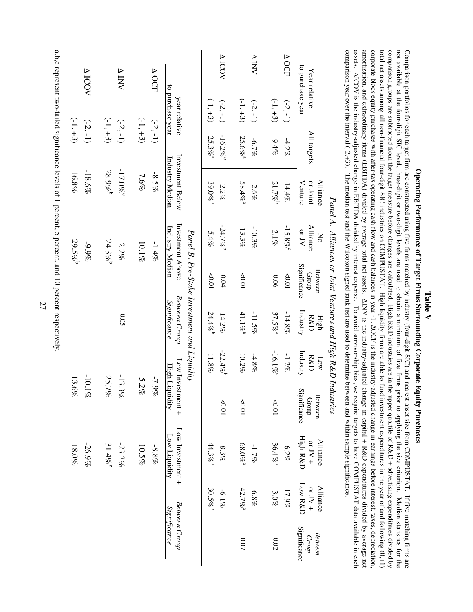|                                   |                                   |                       | comparison groups are subtracted from the target measure before changes are calculated. High R&D industries are in the upper quartile of R&D + advertising expenditures divided by<br>total net assets among all non-financial four-digit SIC industries on COMPUSTAT. High liquidity firms are able to fund investment expenditures in the year of and following (0,+1)<br>not available at the four-digit SIC level, three-digit levels, are also to be a manimum of five final numbing the cased to obdigit levels are used to obdigit levels are used to detain a minimum of five firms prior to apply<br>Comparison portfolios for each target firm are constructed using five firms matched by industry (four-digit SIC) and nearest asset size from COMPUSTAT. If five matching firms are |                                     |                                  |                                                              |                                              |                                                  |                                   |                                |                                              |
|-----------------------------------|-----------------------------------|-----------------------|--------------------------------------------------------------------------------------------------------------------------------------------------------------------------------------------------------------------------------------------------------------------------------------------------------------------------------------------------------------------------------------------------------------------------------------------------------------------------------------------------------------------------------------------------------------------------------------------------------------------------------------------------------------------------------------------------------------------------------------------------------------------------------------------------|-------------------------------------|----------------------------------|--------------------------------------------------------------|----------------------------------------------|--------------------------------------------------|-----------------------------------|--------------------------------|----------------------------------------------|
|                                   |                                   |                       | comparison year over the interval $(-2, +3)$ . The median test and the Wilcoxon signed rank test are used to determine between and within sample significance.<br>assets. AICOV is the industry-adjusted change in EBITDA divided by interest expense. To avoid survivorship bias, we require targets to have COMPUSTAT data available in cach<br>amordization, and extraordinary items (EBITDA) divided by average total net assers. AINV is the industry-adjusted change in capistry-adjusted by average total net assers. AINV is the industry-adjusted change in capistry-ad<br>corporate block equity purchases with after-tax operating cash flow and cash balances in year -1. AOCF is the industry-adjusted change in earnings before interest, taxes, depreciation                      |                                     |                                  |                                                              |                                              |                                                  |                                   |                                |                                              |
|                                   |                                   |                       |                                                                                                                                                                                                                                                                                                                                                                                                                                                                                                                                                                                                                                                                                                                                                                                                  |                                     |                                  | Panel A. Alliances or Joint Ventures and High R&D Industries |                                              |                                                  |                                   |                                |                                              |
| to purchase year<br>Year relative |                                   | All targets           | <b>Alliance</b><br>or Joint<br>Venture                                                                                                                                                                                                                                                                                                                                                                                                                                                                                                                                                                                                                                                                                                                                                           | <b>Alliance</b><br>or JV<br>No      | Significance<br>Between<br>Group | Industry<br>High<br><b>R&amp;D</b>                           | Industry<br><b>R&amp;D</b><br>M <sub>Q</sub> | $\mathcal{L}$<br>ignificance<br>Between<br>Group | High R&D<br>or $JV +$<br>Alliance | Low R&D<br>or JV +<br>Alliance | <b>Significance</b><br>$\emph{Be}}$<br>Group |
| <b>AOCF</b>                       | $(-2, -1)$                        | $-4.2\%$              | $14.4\%$                                                                                                                                                                                                                                                                                                                                                                                                                                                                                                                                                                                                                                                                                                                                                                                         | $-15.8\%$                           | 10.01                            | $-14.8\%$                                                    | $-1.2\%$                                     |                                                  | $6.2\%$                           | 17.9%                          |                                              |
|                                   | $(-1, +3)$                        | $9.4\%$               | $21.7\%^{\rm b}$                                                                                                                                                                                                                                                                                                                                                                                                                                                                                                                                                                                                                                                                                                                                                                                 | 2.1%                                | 90.0                             | $37.5\%$                                                     | $-16.1\%$                                    | 10.05                                            | $36.4\%^b$                        | 3.0%                           | <b>0.02</b>                                  |
| $\Delta$ INV                      | $(-2, -1)$                        | $-6.7\%$              | $2.6\%$                                                                                                                                                                                                                                                                                                                                                                                                                                                                                                                                                                                                                                                                                                                                                                                          | $-10.3\%$                           |                                  | $-11.5\%$                                                    | $-4.8\%$                                     |                                                  | $-1.7\%$                          | $6.8\%$                        |                                              |
|                                   | $(-1, +3)$                        | 25.6% <sup>a</sup>    | $58.4\%^{\rm a}$                                                                                                                                                                                                                                                                                                                                                                                                                                                                                                                                                                                                                                                                                                                                                                                 | 13.3%                               | 10.01                            | 41.1% $\alpha$ <sup>a</sup>                                  | 10.2%                                        | $10^{\circ}$ O                                   | $68.0\%^\mathrm{a}$               | $42.7\%$ <sup>a</sup>          | L0.0                                         |
| <b>A ICOV</b>                     | $(-2, -1)$                        | $-16.2\%$             | 2.2%                                                                                                                                                                                                                                                                                                                                                                                                                                                                                                                                                                                                                                                                                                                                                                                             | $-24.7\%$ <sup>b</sup>              | $0.04$                           | 14.2%                                                        | $-22.4\%$ <sup>b</sup>                       | 10.05                                            | $8.3\%$                           | $-6.1\%$                       |                                              |
|                                   | $(-1, +3)$                        | $25.3\%$ <sup>a</sup> | $39.0\%$ <sup>a</sup>                                                                                                                                                                                                                                                                                                                                                                                                                                                                                                                                                                                                                                                                                                                                                                            | $-5.4\%$                            | 10.05                            | $24.4\%^{\rm b}$                                             | $11.8\%$                                     |                                                  | 44.3%                             | $30.5\%$                       |                                              |
|                                   |                                   |                       |                                                                                                                                                                                                                                                                                                                                                                                                                                                                                                                                                                                                                                                                                                                                                                                                  |                                     |                                  | Panel B. Pre-Stake Investment and Liquidity                  |                                              |                                                  |                                   |                                |                                              |
|                                   | to purchase year<br>year relative |                       | Investment Below<br>Industry Median                                                                                                                                                                                                                                                                                                                                                                                                                                                                                                                                                                                                                                                                                                                                                              | Investment Above<br>Industry Median |                                  | Between Group<br><i><b>Significance</b></i>                  |                                              | Low Investment +<br>High Liquidity               | Low Investment +<br>Low Liquidity |                                | Between Group<br><i><b>Significance</b></i>  |
| <b>AOCF</b>                       |                                   | $(-2, -1)$            | $-8.5\%$                                                                                                                                                                                                                                                                                                                                                                                                                                                                                                                                                                                                                                                                                                                                                                                         | $-1.4\%$                            |                                  |                                                              |                                              | $-7.9\%$                                         | $-8.8\%$                          |                                |                                              |
|                                   |                                   | $(-1, +3)$            | $7.6\%$                                                                                                                                                                                                                                                                                                                                                                                                                                                                                                                                                                                                                                                                                                                                                                                          | $10.1\%$                            |                                  |                                                              |                                              | 5.2%                                             | $10.5\%$                          |                                |                                              |
| $\Delta$ INV                      |                                   | $(-2, -1)$            | $-17.0\%^\circ$                                                                                                                                                                                                                                                                                                                                                                                                                                                                                                                                                                                                                                                                                                                                                                                  | 2.2%                                |                                  | 0.05                                                         |                                              | $-13.3\%$                                        | $-23.3\%$                         |                                |                                              |
|                                   |                                   | $(-1, +3)$            | $28.9\%^{\rm b}$                                                                                                                                                                                                                                                                                                                                                                                                                                                                                                                                                                                                                                                                                                                                                                                 | $24.3\%^{\rm b}$                    |                                  |                                                              |                                              | 25.7%                                            | $31.4\%$                          |                                |                                              |
| <b>A ICOV</b>                     |                                   | $(-2, -1)$            | $-18.6\%$                                                                                                                                                                                                                                                                                                                                                                                                                                                                                                                                                                                                                                                                                                                                                                                        | -9.9%                               |                                  |                                                              |                                              | $-10.1\%$                                        | $-26.9\%$                         |                                |                                              |
|                                   |                                   | $(-1, +3)$            | 16.8%                                                                                                                                                                                                                                                                                                                                                                                                                                                                                                                                                                                                                                                                                                                                                                                            | $29.5\%^{\rm b}$                    |                                  |                                                              |                                              | 13.6%                                            | $18.0\%$                          |                                |                                              |
|                                   |                                   |                       | a,b,c represent two-trailed significance levels of 1 percent, specent and 10 percent respective-trailed significance levels.                                                                                                                                                                                                                                                                                                                                                                                                                                                                                                                                                                                                                                                                     |                                     |                                  |                                                              |                                              |                                                  |                                   |                                |                                              |

**Table V Operating Performance of Target Firms Surrounding Corporate Equity Purchases**

Operating Performance of Target Firms Surrounding Corporate Equity Purchases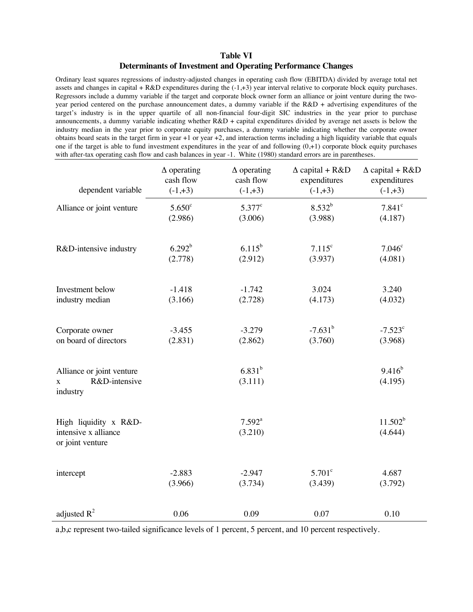# **Table VI Determinants of Investment and Operating Performance Changes**

Ordinary least squares regressions of industry-adjusted changes in operating cash flow (EBITDA) divided by average total net assets and changes in capital +  $R&D$  expenditures during the  $(-1, +3)$  year interval relative to corporate block equity purchases. Regressors include a dummy variable if the target and corporate block owner form an alliance or joint venture during the twoyear period centered on the purchase announcement dates, a dummy variable if the  $R&D$  + advertising expenditures of the target's industry is in the upper quartile of all non-financial four-digit SIC industries in the year prior to purchase announcements, a dummy variable indicating whether R&D + capital expenditures divided by average net assets is below the industry median in the year prior to corporate equity purchases, a dummy variable indicating whether the corporate owner obtains board seats in the target firm in year +1 or year +2, and interaction terms including a high liquidity variable that equals one if the target is able to fund investment expenditures in the year of and following  $(0, +1)$  corporate block equity purchases with after-tax operating cash flow and cash balances in year -1. White (1980) standard errors are in parentheses.

| dependent variable                                                     | $\Delta$ operating   | $\Delta$ operating            | $\Delta$ capital + R&D | $\Delta$ capital + R&D         |
|------------------------------------------------------------------------|----------------------|-------------------------------|------------------------|--------------------------------|
|                                                                        | cash flow            | cash flow                     | expenditures           | expenditures                   |
|                                                                        | $(-1, +3)$           | $(-1, +3)$                    | $(-1,+3)$              | $(-1, +3)$                     |
| Alliance or joint venture                                              | $5.650$ <sup>c</sup> | $5.377$ <sup>c</sup>          | $8.532^{b}$            | $7.841$ c                      |
|                                                                        | (2.986)              | (3.006)                       | (3.988)                | (4.187)                        |
| R&D-intensive industry                                                 | $6.292^{b}$          | $6.115^{b}$                   | $7.115^c$              | 7.046 <sup>c</sup>             |
|                                                                        | (2.778)              | (2.912)                       | (3.937)                | (4.081)                        |
| Investment below                                                       | $-1.418$             | $-1.742$                      | 3.024                  | 3.240                          |
| industry median                                                        | (3.166)              | (2.728)                       | (4.173)                | (4.032)                        |
| Corporate owner                                                        | $-3.455$             | $-3.279$                      | $-7.631^b$             | $-7.523^{\circ}$               |
| on board of directors                                                  | (2.831)              | (2.862)                       | (3.760)                | (3.968)                        |
| Alliance or joint venture<br>R&D-intensive<br>$\mathbf{X}$<br>industry |                      | $6.831^{b}$<br>(3.111)        |                        | $9.416^{b}$<br>(4.195)         |
| High liquidity x R&D-<br>intensive x alliance<br>or joint venture      |                      | $7.592^{\text{a}}$<br>(3.210) |                        | 11.502 <sup>b</sup><br>(4.644) |
| intercept                                                              | $-2.883$             | $-2.947$                      | 5.701 <sup>c</sup>     | 4.687                          |
|                                                                        | (3.966)              | (3.734)                       | (3.439)                | (3.792)                        |
| adjusted $R^2$                                                         | 0.06                 | 0.09                          | 0.07                   | 0.10                           |

a,b,c represent two-tailed significance levels of 1 percent, 5 percent, and 10 percent respectively.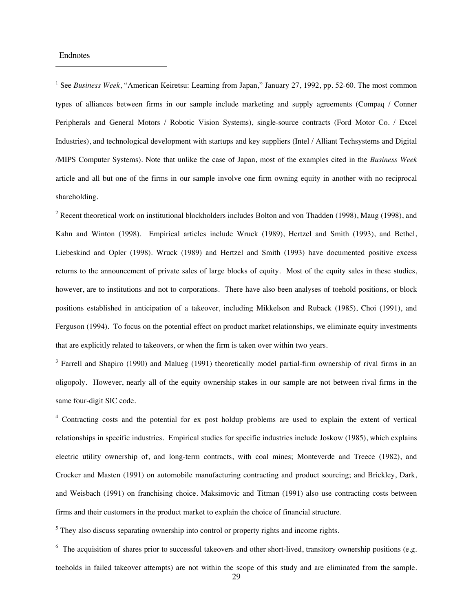#### Endnotes

1

<sup>1</sup> See *Business Week*, "American Keiretsu: Learning from Japan," January 27, 1992, pp. 52-60. The most common types of alliances between firms in our sample include marketing and supply agreements (Compaq / Conner Peripherals and General Motors / Robotic Vision Systems), single-source contracts (Ford Motor Co. / Excel Industries), and technological development with startups and key suppliers (Intel / Alliant Techsystems and Digital /MIPS Computer Systems). Note that unlike the case of Japan, most of the examples cited in the *Business Week* article and all but one of the firms in our sample involve one firm owning equity in another with no reciprocal shareholding.

<sup>2</sup> Recent theoretical work on institutional blockholders includes Bolton and von Thadden (1998), Maug (1998), and Kahn and Winton (1998). Empirical articles include Wruck (1989), Hertzel and Smith (1993), and Bethel, Liebeskind and Opler (1998). Wruck (1989) and Hertzel and Smith (1993) have documented positive excess returns to the announcement of private sales of large blocks of equity. Most of the equity sales in these studies, however, are to institutions and not to corporations. There have also been analyses of toehold positions, or block positions established in anticipation of a takeover, including Mikkelson and Ruback (1985), Choi (1991), and Ferguson (1994). To focus on the potential effect on product market relationships, we eliminate equity investments that are explicitly related to takeovers, or when the firm is taken over within two years.

<sup>3</sup> Farrell and Shapiro (1990) and Malueg (1991) theoretically model partial-firm ownership of rival firms in an oligopoly. However, nearly all of the equity ownership stakes in our sample are not between rival firms in the same four-digit SIC code.

<sup>4</sup> Contracting costs and the potential for ex post holdup problems are used to explain the extent of vertical relationships in specific industries. Empirical studies for specific industries include Joskow (1985), which explains electric utility ownership of, and long-term contracts, with coal mines; Monteverde and Treece (1982), and Crocker and Masten (1991) on automobile manufacturing contracting and product sourcing; and Brickley, Dark, and Weisbach (1991) on franchising choice. Maksimovic and Titman (1991) also use contracting costs between firms and their customers in the product market to explain the choice of financial structure.

<sup>5</sup> They also discuss separating ownership into control or property rights and income rights.

 $6$  The acquisition of shares prior to successful takeovers and other short-lived, transitory ownership positions (e.g. toeholds in failed takeover attempts) are not within the scope of this study and are eliminated from the sample.